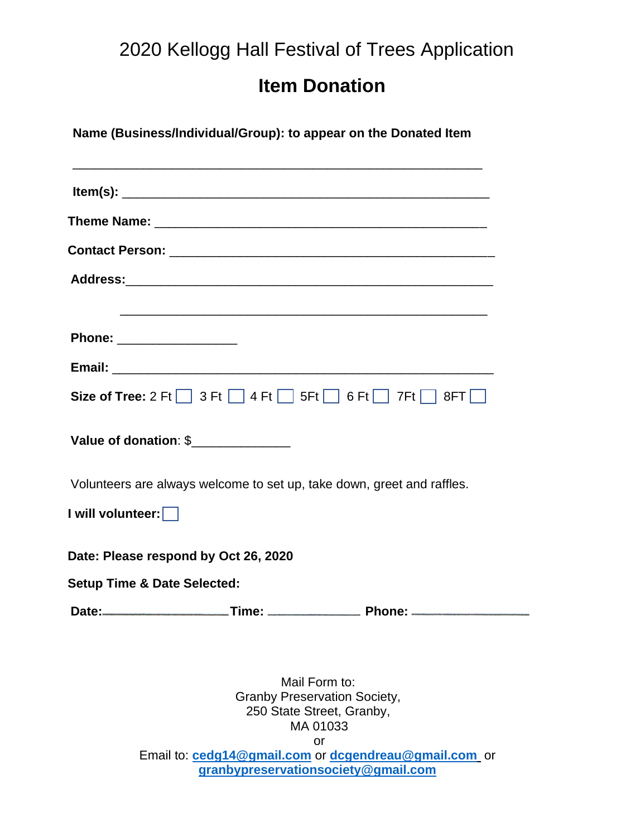## 2020 Kellogg Hall Festival of Trees Application

## **Item Donation**

**Name (Business/lndividual/Group): to appear on the Donated Item**

\_\_\_\_\_\_\_\_\_\_\_\_\_\_\_\_\_\_\_\_\_\_\_\_\_\_\_\_\_\_\_\_\_\_\_\_\_\_\_\_\_\_\_\_\_\_\_\_\_\_\_\_\_\_\_\_\_\_

| Phone: __________________                                              |
|------------------------------------------------------------------------|
|                                                                        |
| Size of Tree: $2 \text{ Ft}$ 3 Ft 4 Ft 5 Ft 6 Ft 7 Ft 7 8 FT           |
| Value of donation: \$                                                  |
| Volunteers are always welcome to set up, take down, greet and raffles. |
| I will volunteer:                                                      |
| Date: Please respond by Oct 26, 2020                                   |
| <b>Setup Time &amp; Date Selected:</b>                                 |
|                                                                        |

Mail Form to: Granby Preservation Society, 250 State Street, Granby, MA 01033 or

Email to: **[cedg14@gmail.com](mailto:cedg14@gmail.com)** or **[dcgendreau@gmail.com](mailto:dcgendreau@gmail.com)** or **[granbypreservationsociety@gmail.com](mailto:granbypreservationsociety@gmail.com)**